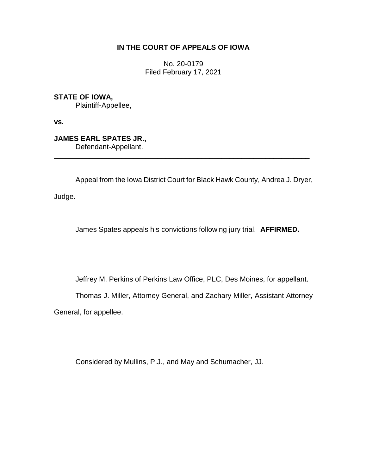# **IN THE COURT OF APPEALS OF IOWA**

No. 20-0179 Filed February 17, 2021

**STATE OF IOWA,**

Plaintiff-Appellee,

**vs.**

**JAMES EARL SPATES JR.,** Defendant-Appellant.

Appeal from the Iowa District Court for Black Hawk County, Andrea J. Dryer,

\_\_\_\_\_\_\_\_\_\_\_\_\_\_\_\_\_\_\_\_\_\_\_\_\_\_\_\_\_\_\_\_\_\_\_\_\_\_\_\_\_\_\_\_\_\_\_\_\_\_\_\_\_\_\_\_\_\_\_\_\_\_\_\_

Judge.

James Spates appeals his convictions following jury trial. **AFFIRMED.**

Jeffrey M. Perkins of Perkins Law Office, PLC, Des Moines, for appellant.

Thomas J. Miller, Attorney General, and Zachary Miller, Assistant Attorney

General, for appellee.

Considered by Mullins, P.J., and May and Schumacher, JJ.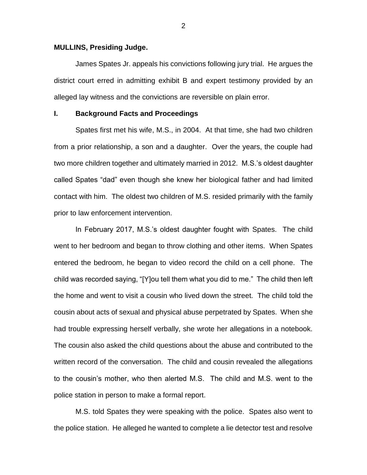#### **MULLINS, Presiding Judge.**

James Spates Jr. appeals his convictions following jury trial. He argues the district court erred in admitting exhibit B and expert testimony provided by an alleged lay witness and the convictions are reversible on plain error.

## **I. Background Facts and Proceedings**

Spates first met his wife, M.S., in 2004. At that time, she had two children from a prior relationship, a son and a daughter. Over the years, the couple had two more children together and ultimately married in 2012. M.S.'s oldest daughter called Spates "dad" even though she knew her biological father and had limited contact with him. The oldest two children of M.S. resided primarily with the family prior to law enforcement intervention.

In February 2017, M.S.'s oldest daughter fought with Spates. The child went to her bedroom and began to throw clothing and other items. When Spates entered the bedroom, he began to video record the child on a cell phone. The child was recorded saying, "[Y]ou tell them what you did to me." The child then left the home and went to visit a cousin who lived down the street. The child told the cousin about acts of sexual and physical abuse perpetrated by Spates. When she had trouble expressing herself verbally, she wrote her allegations in a notebook. The cousin also asked the child questions about the abuse and contributed to the written record of the conversation. The child and cousin revealed the allegations to the cousin's mother, who then alerted M.S. The child and M.S. went to the police station in person to make a formal report.

M.S. told Spates they were speaking with the police. Spates also went to the police station. He alleged he wanted to complete a lie detector test and resolve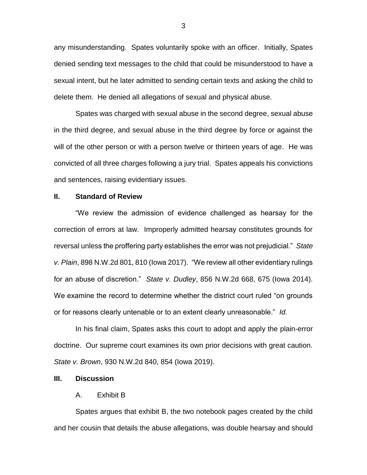any misunderstanding. Spates voluntarily spoke with an officer. Initially, Spates denied sending text messages to the child that could be misunderstood to have a sexual intent, but he later admitted to sending certain texts and asking the child to delete them. He denied all allegations of sexual and physical abuse.

Spates was charged with sexual abuse in the second degree, sexual abuse in the third degree, and sexual abuse in the third degree by force or against the will of the other person or with a person twelve or thirteen years of age. He was convicted of all three charges following a jury trial. Spates appeals his convictions and sentences, raising evidentiary issues.

## **II. Standard of Review**

"We review the admission of evidence challenged as hearsay for the correction of errors at law. Improperly admitted hearsay constitutes grounds for reversal unless the proffering party establishes the error was not prejudicial." *State v. Plain*, 898 N.W.2d 801, 810 (Iowa 2017). "We review all other evidentiary rulings for an abuse of discretion." *State v. Dudley*, 856 N.W.2d 668, 675 (Iowa 2014). We examine the record to determine whether the district court ruled "on grounds or for reasons clearly untenable or to an extent clearly unreasonable." *Id.*

In his final claim, Spates asks this court to adopt and apply the plain-error doctrine. Our supreme court examines its own prior decisions with great caution. *State v. Brown*, 930 N.W.2d 840, 854 (Iowa 2019).

#### **III. Discussion**

## A. Exhibit B

Spates argues that exhibit B, the two notebook pages created by the child and her cousin that details the abuse allegations, was double hearsay and should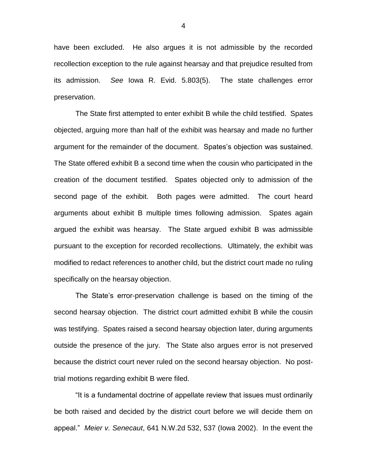have been excluded. He also argues it is not admissible by the recorded recollection exception to the rule against hearsay and that prejudice resulted from its admission. *See* Iowa R. Evid. 5.803(5). The state challenges error preservation.

The State first attempted to enter exhibit B while the child testified. Spates objected, arguing more than half of the exhibit was hearsay and made no further argument for the remainder of the document. Spates's objection was sustained. The State offered exhibit B a second time when the cousin who participated in the creation of the document testified. Spates objected only to admission of the second page of the exhibit. Both pages were admitted. The court heard arguments about exhibit B multiple times following admission. Spates again argued the exhibit was hearsay. The State argued exhibit B was admissible pursuant to the exception for recorded recollections. Ultimately, the exhibit was modified to redact references to another child, but the district court made no ruling specifically on the hearsay objection.

The State's error-preservation challenge is based on the timing of the second hearsay objection. The district court admitted exhibit B while the cousin was testifying. Spates raised a second hearsay objection later, during arguments outside the presence of the jury. The State also argues error is not preserved because the district court never ruled on the second hearsay objection. No posttrial motions regarding exhibit B were filed.

"It is a fundamental doctrine of appellate review that issues must ordinarily be both raised and decided by the district court before we will decide them on appeal." *Meier v. Senecaut*, 641 N.W.2d 532, 537 (Iowa 2002). In the event the

4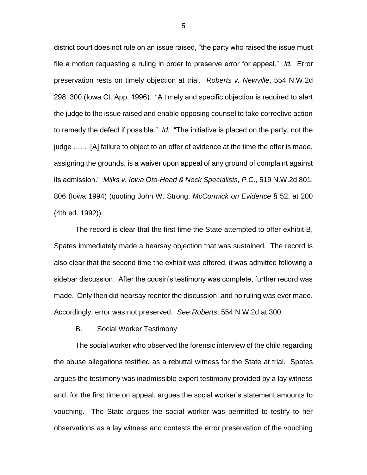district court does not rule on an issue raised, "the party who raised the issue must file a motion requesting a ruling in order to preserve error for appeal." *Id.* Error preservation rests on timely objection at trial. *Roberts v. Newville*, 554 N.W.2d 298, 300 (Iowa Ct. App. 1996). "A timely and specific objection is required to alert the judge to the issue raised and enable opposing counsel to take corrective action to remedy the defect if possible." *Id.* "The initiative is placed on the party, not the judge . . . . [A] failure to object to an offer of evidence at the time the offer is made, assigning the grounds, is a waiver upon appeal of any ground of complaint against its admission." *Milks v. Iowa Oto-Head & Neck Specialists, P.C.*, 519 N.W.2d 801, 806 (Iowa 1994) (quoting John W. Strong, *McCormick on Evidence* § 52, at 200 (4th ed. 1992)).

The record is clear that the first time the State attempted to offer exhibit B, Spates immediately made a hearsay objection that was sustained. The record is also clear that the second time the exhibit was offered, it was admitted following a sidebar discussion. After the cousin's testimony was complete, further record was made. Only then did hearsay reenter the discussion, and no ruling was ever made. Accordingly, error was not preserved. *See Roberts*, 554 N.W.2d at 300.

B. Social Worker Testimony

The social worker who observed the forensic interview of the child regarding the abuse allegations testified as a rebuttal witness for the State at trial. Spates argues the testimony was inadmissible expert testimony provided by a lay witness and, for the first time on appeal, argues the social worker's statement amounts to vouching. The State argues the social worker was permitted to testify to her observations as a lay witness and contests the error preservation of the vouching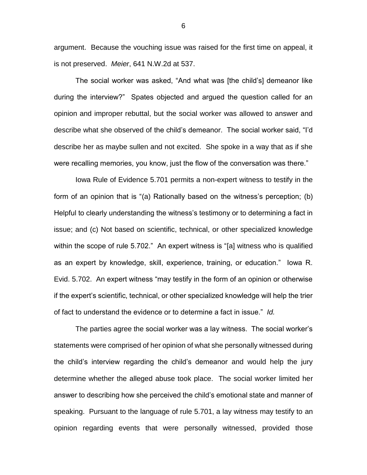argument. Because the vouching issue was raised for the first time on appeal, it is not preserved. *Meier*, 641 N.W.2d at 537.

The social worker was asked, "And what was [the child's] demeanor like during the interview?" Spates objected and argued the question called for an opinion and improper rebuttal, but the social worker was allowed to answer and describe what she observed of the child's demeanor. The social worker said, "I'd describe her as maybe sullen and not excited. She spoke in a way that as if she were recalling memories, you know, just the flow of the conversation was there."

Iowa Rule of Evidence 5.701 permits a non-expert witness to testify in the form of an opinion that is "(a) Rationally based on the witness's perception; (b) Helpful to clearly understanding the witness's testimony or to determining a fact in issue; and (c) Not based on scientific, technical, or other specialized knowledge within the scope of rule 5.702." An expert witness is "[a] witness who is qualified as an expert by knowledge, skill, experience, training, or education." Iowa R. Evid. 5.702. An expert witness "may testify in the form of an opinion or otherwise if the expert's scientific, technical, or other specialized knowledge will help the trier of fact to understand the evidence or to determine a fact in issue." *Id.*

The parties agree the social worker was a lay witness. The social worker's statements were comprised of her opinion of what she personally witnessed during the child's interview regarding the child's demeanor and would help the jury determine whether the alleged abuse took place. The social worker limited her answer to describing how she perceived the child's emotional state and manner of speaking. Pursuant to the language of rule 5.701, a lay witness may testify to an opinion regarding events that were personally witnessed, provided those